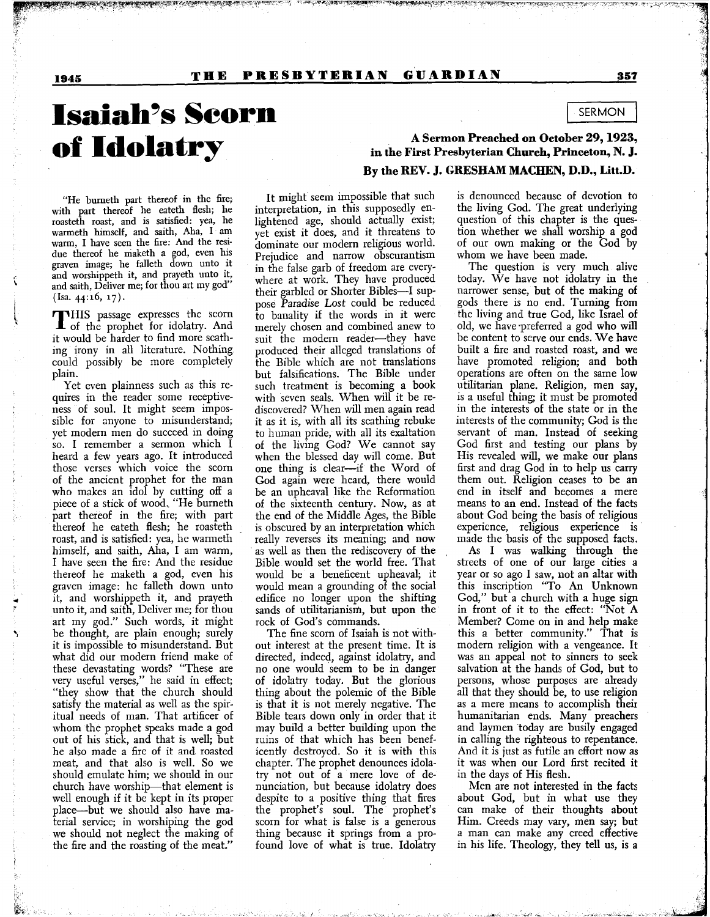## **<sup>1945</sup> THE PRESBYTERIAN GUARDIAN <sup>351</sup>**

## **Isaiah's Scorn of Idolatry**

**A Sermon Preached on October 29, 1923, in the First Presbyterian Church, Princeton, N. J. By the REV. J. GRESHAM MACHEN, D.D., Litt.D.** 

"He burneth part thereof in the fire; with part thereof he eateth flesh; he roasteth roast, and is satisfied: yea, he warmeth himself, and saith, Aha, I am warm, I have seen the fire: And the residue thereof he maketh a god, even his graven image; he falleth down unto it and worshippeth it, and prayeth unto it, and saith, Deliver me; for thou art my god" (Isa. 44:16, 17).

THIS passage expresses the scorn<br>
of the prophet for idolatry And of the prophet for idolatry. And it would be harder to find more scathing irony in all literature. Nothing could possibly be more completely plain.

la de la construcción de la construcción de la construcción de la construcción de la construcción de la construcción de la construcción de la construcción de la construcción de la construcción de la construcción de la cons

.. 7

Yet even plainness such as this requires in the reader some receptiveness of soul. It might seem impossible for anyone to misunderstand; yet modern men do succeed in doing so. I remember a sermon which I heard a few years ago. It introduced those verses which voice the scorn of the ancient prophet for the man who makes an idol by cutting off a piece of a stick of wood. "He burneth part thereof in the fire; with part thereof he eateth flesh; he roasteth roast, and is satisfied: yea, he warmeth himself, and saith, Aha, I am warm, I have seen the fire: And the residue thereof he maketh a god, even his graven image: he falleth down unto it, and worshippeth it, and prayeth unto it, and saith, Deliver me; for thou art my god." Such words, it might be thought, are plain enough; surely it is impossible to misunderstand. But what did our modern friend make of these devastating words? "These are very useful verses," he said in effect; "they show that the church should satisfy the material as well as the spiritual needs of man. That artificer of whom the prophet speaks made a god out of his stick, and that is well; but he also made a fire of it and roasted meat, and that also is well. So we should emulate him; we should in our church have worship-that element is well enough if it be kept in its proper place-but we should also have material service; in worshiping the god we should not neglect the making of the fire and the roasting of the meat."

It might seem impossible that such interpretation, in this supposedly lightened age, should actually exist; yet exist it does, and it threatens to dominate our modern religious world. Prejudice and narrow obscurantism in the false garb of freedom are everywhere at work. They have produced their garbled or Shorter Bibles-I suppose Paradise *Lost* could be reduced to banality if the words in it were merely chosen and combined anew to suit the modern reader-they have produced their alleged translations of the Bible which are not translations but falsifications. The Bible under such treatment is becoming a book with seven seals. When will it be rediscovered? When will men again read it as it is, with all its scathing rebuke to human pride, with all its exaltation of the living God? We cannot say when the blessed day will come. But one thing is clear-if the Word of God again were heard, there would be an upheaval like the Reformation of the sixteenth century. Now, as at the end of the Middle Ages, the Bible is obscured by an interpretation which really reverses its meaning; and now . as well as then the rediscovery of the Bible would set the world free. That would be a beneficent upheaval; it would mean a grounding of the social edifice no longer upon the shifting sands of utilitarianism, but upon the rock of God's commands.

The fine scorn of Isaiah is not without interest at the present time. It is directed, indeed, against idolatry, and no one would seem to be in danger of idolatry today. But the glorious thing about the polemic of the Bible is that it is not merely negative. The Bible tears down only in order that it may build a better building upon the ruins of that which has been beneficently destroyed. So it is with this chapter. The prophet denounces idolatry .not out of a mere love of denunciation, but because idolatry does despite to a positive thing that fires the prophet's soul. The prophet's scorn for what is false is a generous thing because it springs from a profound love of what is true. Idolatry

is denounced because of devotion to the living God. The great underlying question of this chapter is the question whether we shall worship a god of our own making or the God by whom we have been made.

The question is very much alive today. We have not idolatry in the narrower sense, but of the making of gods there is no end. Turning from the living and true God, like Israel of old, we have 'preferred a god who will be content to serve our ends. We have built a fire and roasted roast, and we have promoted religion; and both operations are often on the same low utilitarian plane. Religion, men say, is a useful thing; it must be promoted in the interests of the state or in the interests of the community; God is the servant of man. Instead of seeking God first and testing our plans by His revealed will, we make our plans first and drag God in to help us carry them out. Religion ceases to be an end in itself and becomes a mere means to an end. Instead of the facts about God being the basis of religious experience, religious experience is

made the basis of the supposed facts. As I was walking through the streets of one of our large cities a year or so ago I saw, not an altar with this inscription "To An Unknown God," but a church with a huge sign in front of it to the effect: "Not A Member? Come on in and help make this a better community." That is modern religion with a vengeance. It was an appeal not to sinners to seek salvation at the hands of God, but to persons, whose purposes are already all that they should be, to use religion as a mere means to accomplish their humanitarian ends. Many preachers and laymen 'today are busily engaged in calling the righteous to repentance. And it is just as futile an effort now as it was when our Lord first recited it in the days of His flesh.

Men are not interested in the facts about God, but in what use they can make of their thoughts about Him. Creeds may vary, men say; but a man can make any creed effective in his life. Theology, they tell us, is a

SERMON **I**